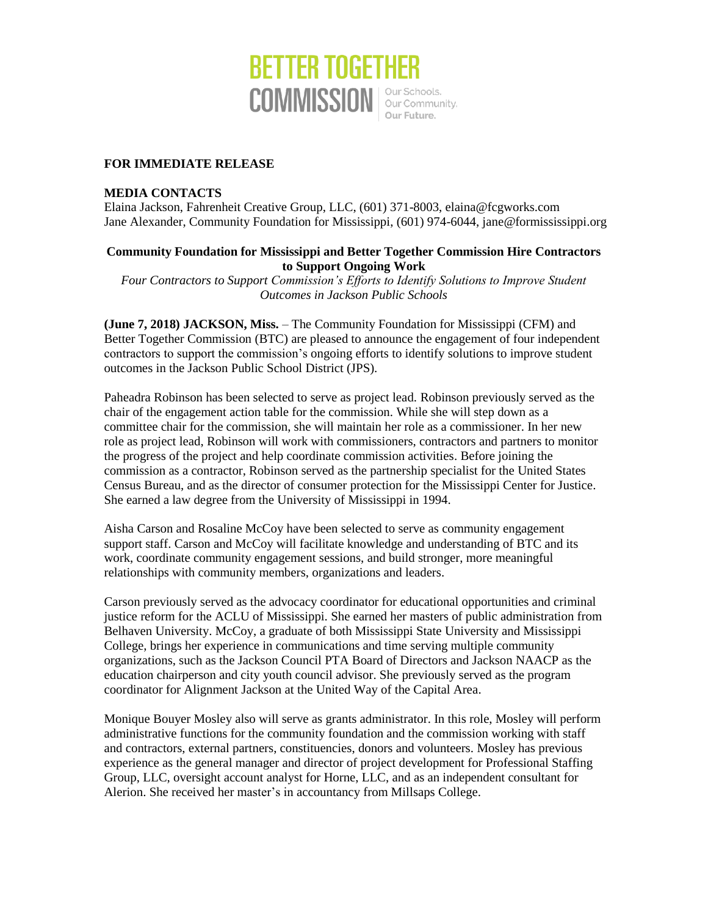

# **FOR IMMEDIATE RELEASE**

#### **MEDIA CONTACTS**

Elaina Jackson, Fahrenheit Creative Group, LLC, (601) 371-8003, elaina@fcgworks.com Jane Alexander, Community Foundation for Mississippi, (601) 974-6044, jane@formississippi.org

# **Community Foundation for Mississippi and Better Together Commission Hire Contractors to Support Ongoing Work**

*Four Contractors to Support Commission's Efforts to Identify Solutions to Improve Student Outcomes in Jackson Public Schools*

**(June 7, 2018) JACKSON, Miss.** – The Community Foundation for Mississippi (CFM) and Better Together Commission (BTC) are pleased to announce the engagement of four independent contractors to support the commission's ongoing efforts to identify solutions to improve student outcomes in the Jackson Public School District (JPS).

Paheadra Robinson has been selected to serve as project lead. Robinson previously served as the chair of the engagement action table for the commission. While she will step down as a committee chair for the commission, she will maintain her role as a commissioner. In her new role as project lead, Robinson will work with commissioners, contractors and partners to monitor the progress of the project and help coordinate commission activities. Before joining the commission as a contractor, Robinson served as the partnership specialist for the United States Census Bureau, and as the director of consumer protection for the Mississippi Center for Justice. She earned a law degree from the University of Mississippi in 1994.

Aisha Carson and Rosaline McCoy have been selected to serve as community engagement support staff. Carson and McCoy will facilitate knowledge and understanding of BTC and its work, coordinate community engagement sessions, and build stronger, more meaningful relationships with community members, organizations and leaders.

Carson previously served as the advocacy coordinator for educational opportunities and criminal justice reform for the ACLU of Mississippi. She earned her masters of public administration from Belhaven University. McCoy, a graduate of both Mississippi State University and Mississippi College, brings her experience in communications and time serving multiple community organizations, such as the Jackson Council PTA Board of Directors and Jackson NAACP as the education chairperson and city youth council advisor. She previously served as the program coordinator for Alignment Jackson at the United Way of the Capital Area.

Monique Bouyer Mosley also will serve as grants administrator. In this role, Mosley will perform administrative functions for the community foundation and the commission working with staff and contractors, external partners, constituencies, donors and volunteers. Mosley has previous experience as the general manager and director of project development for Professional Staffing Group, LLC, oversight account analyst for Horne, LLC, and as an independent consultant for Alerion. She received her master's in accountancy from Millsaps College.